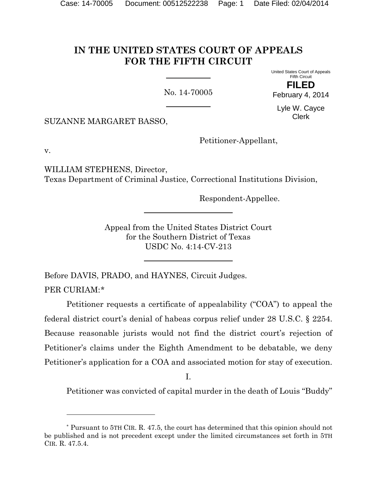# **IN THE UNITED STATES COURT OF APPEALS FOR THE FIFTH CIRCUIT**

No. 14-70005

United States Court of Appeals Fifth Circuit **FILED**

February 4, 2014

Lyle W. Cayce Clerk

SUZANNE MARGARET BASSO,

Petitioner-Appellant,

v.

l

WILLIAM STEPHENS, Director, Texas Department of Criminal Justice, Correctional Institutions Division,

Respondent-Appellee.

Appeal from the United States District Court for the Southern District of Texas USDC No. 4:14-CV-213

Before DAVIS, PRADO, and HAYNES, Circuit Judges. PER CURIAM:[\\*](#page-0-0)

Petitioner requests a certificate of appealability ("COA") to appeal the federal district court's denial of habeas corpus relief under 28 U.S.C. § 2254. Because reasonable jurists would not find the district court's rejection of Petitioner's claims under the Eighth Amendment to be debatable, we deny Petitioner's application for a COA and associated motion for stay of execution.

I.

Petitioner was convicted of capital murder in the death of Louis "Buddy"

<span id="page-0-0"></span><sup>\*</sup> Pursuant to 5TH CIR. R. 47.5, the court has determined that this opinion should not be published and is not precedent except under the limited circumstances set forth in 5TH CIR. R. 47.5.4.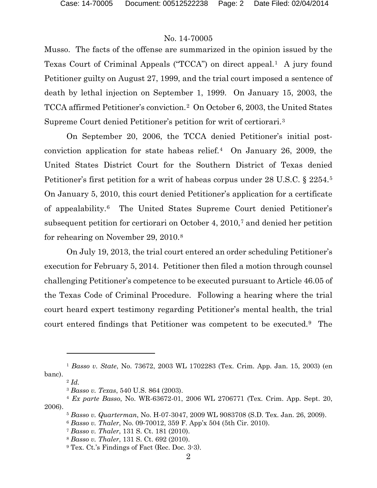Musso. The facts of the offense are summarized in the opinion issued by the Texas Court of Criminal Appeals ("TCCA") on direct appeal.<sup>1</sup> A jury found Petitioner guilty on August 27, 1999, and the trial court imposed a sentence of death by lethal injection on September 1, 1999. On January 15, 2003, the TCCA affirmed Petitioner's conviction.[2](#page-1-1) On October 6, 2003, the United States Supreme Court denied Petitioner's petition for writ of certiorari.[3](#page-1-2)

On September 20, 2006, the TCCA denied Petitioner's initial postconviction application for state habeas relief.[4](#page-1-3) On January 26, 2009, the United States District Court for the Southern District of Texas denied Petitioner's first petition for a writ of habeas corpus under 28 U.S.C. § 2254.[5](#page-1-4) On January 5, 2010, this court denied Petitioner's application for a certificate of appealability.[6](#page-1-5) The United States Supreme Court denied Petitioner's subsequent petition for certiorari on October 4, 2010,[7](#page-1-6) and denied her petition for rehearing on November 29, 2010.[8](#page-1-7)

On July 19, 2013, the trial court entered an order scheduling Petitioner's execution for February 5, 2014. Petitioner then filed a motion through counsel challenging Petitioner's competence to be executed pursuant to Article 46.05 of the Texas Code of Criminal Procedure. Following a hearing where the trial court heard expert testimony regarding Petitioner's mental health, the trial court entered findings that Petitioner was competent to be executed.[9](#page-1-8) The

<span id="page-1-1"></span><span id="page-1-0"></span><sup>1</sup> *Basso v. State*, No. 73672, 2003 WL 1702283 (Tex. Crim. App. Jan. 15, 2003) (en banc).

<sup>2</sup> *Id.*

<sup>3</sup> *Basso v. Texas*, 540 U.S. 864 (2003).

<span id="page-1-8"></span><span id="page-1-7"></span><span id="page-1-6"></span><span id="page-1-5"></span><span id="page-1-4"></span><span id="page-1-3"></span><span id="page-1-2"></span><sup>4</sup> *Ex parte Basso*, No. WR-63672-01, 2006 WL 2706771 (Tex. Crim. App. Sept. 20, 2006).

<sup>5</sup> *Basso v. Quarterman*, No. H-07-3047, 2009 WL 9083708 (S.D. Tex. Jan. 26, 2009).

<sup>6</sup> *Basso v. Thaler*, No. 09-70012, 359 F. App'x 504 (5th Cir. 2010).

<sup>7</sup> *Basso v. Thaler*, 131 S. Ct. 181 (2010).

<sup>8</sup> *Basso v. Thaler*, 131 S. Ct. 692 (2010).

<sup>9</sup> Tex. Ct.'s Findings of Fact (Rec. Doc. 3-3).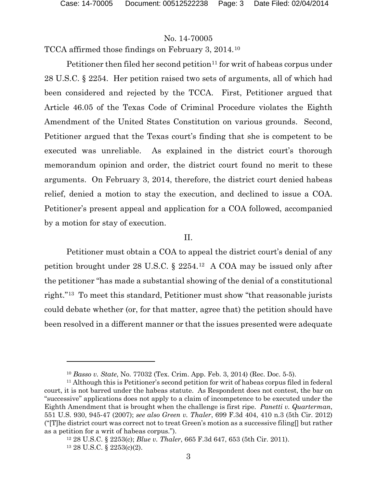TCCA affirmed those findings on February 3, 2014.[10](#page-2-0)

Petitioner then filed her second petition<sup>[11](#page-2-1)</sup> for writ of habeas corpus under 28 U.S.C. § 2254. Her petition raised two sets of arguments, all of which had been considered and rejected by the TCCA. First, Petitioner argued that Article 46.05 of the Texas Code of Criminal Procedure violates the Eighth Amendment of the United States Constitution on various grounds. Second, Petitioner argued that the Texas court's finding that she is competent to be executed was unreliable. As explained in the district court's thorough memorandum opinion and order, the district court found no merit to these arguments. On February 3, 2014, therefore, the district court denied habeas relief, denied a motion to stay the execution, and declined to issue a COA. Petitioner's present appeal and application for a COA followed, accompanied by a motion for stay of execution.

#### II.

Petitioner must obtain a COA to appeal the district court's denial of any petition brought under 28 U.S.C. § 2254.[12](#page-2-2) A COA may be issued only after the petitioner "has made a substantial showing of the denial of a constitutional right."[13](#page-2-3) To meet this standard, Petitioner must show "that reasonable jurists could debate whether (or, for that matter, agree that) the petition should have been resolved in a different manner or that the issues presented were adequate

<sup>10</sup> *Basso v. State*, No. 77032 (Tex. Crim. App. Feb. 3, 2014) (Rec. Doc. 5-5).

<span id="page-2-1"></span><span id="page-2-0"></span><sup>11</sup> Although this is Petitioner's second petition for writ of habeas corpus filed in federal court, it is not barred under the habeas statute. As Respondent does not contest, the bar on "successive" applications does not apply to a claim of incompetence to be executed under the Eighth Amendment that is brought when the challenge is first ripe. *Panetti v. Quarterman*, 551 U.S. 930, 945-47 (2007); *see also Green v. Thaler*, 699 F.3d 404, 410 n.3 (5th Cir. 2012) ("[T]he district court was correct not to treat Green's motion as a successive filing[] but rather as a petition for a writ of habeas corpus.").

<span id="page-2-3"></span><span id="page-2-2"></span><sup>12</sup> 28 U.S.C. § 2253(c); *Blue v. Thaler*, 665 F.3d 647, 653 (5th Cir. 2011). <sup>13</sup> 28 U.S.C. § 2253(c)(2).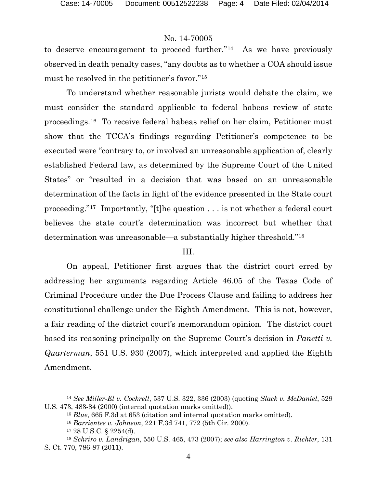to deserve encouragement to proceed further."[14](#page-3-0) As we have previously observed in death penalty cases, "any doubts as to whether a COA should issue must be resolved in the petitioner's favor."[15](#page-3-1)

To understand whether reasonable jurists would debate the claim, we must consider the standard applicable to federal habeas review of state proceedings.[16](#page-3-2) To receive federal habeas relief on her claim, Petitioner must show that the TCCA's findings regarding Petitioner's competence to be executed were "contrary to, or involved an unreasonable application of, clearly established Federal law, as determined by the Supreme Court of the United States" or "resulted in a decision that was based on an unreasonable determination of the facts in light of the evidence presented in the State court proceeding."[17](#page-3-3) Importantly, "[t]he question . . . is not whether a federal court believes the state court's determination was incorrect but whether that determination was unreasonable—a substantially higher threshold."[18](#page-3-4)

#### III.

On appeal, Petitioner first argues that the district court erred by addressing her arguments regarding Article 46.05 of the Texas Code of Criminal Procedure under the Due Process Clause and failing to address her constitutional challenge under the Eighth Amendment. This is not, however, a fair reading of the district court's memorandum opinion. The district court based its reasoning principally on the Supreme Court's decision in *Panetti v. Quarterman*, 551 U.S. 930 (2007), which interpreted and applied the Eighth Amendment.

<span id="page-3-1"></span><span id="page-3-0"></span><sup>14</sup> *See Miller-El v. Cockrell*, 537 U.S. 322, 336 (2003) (quoting *Slack v. McDaniel*, 529 U.S. 473, 483-84 (2000) (internal quotation marks omitted)).

<sup>15</sup> *Blue*, 665 F.3d at 653 (citation and internal quotation marks omitted).

<sup>16</sup> *Barrientes v. Johnson*, 221 F.3d 741, 772 (5th Cir. 2000).

<sup>17</sup> 28 U.S.C. § 2254(d).

<span id="page-3-4"></span><span id="page-3-3"></span><span id="page-3-2"></span><sup>18</sup> *Schriro v. Landrigan*, 550 U.S. 465, 473 (2007); *see also Harrington v. Richter*, 131 S. Ct. 770, 786-87 (2011).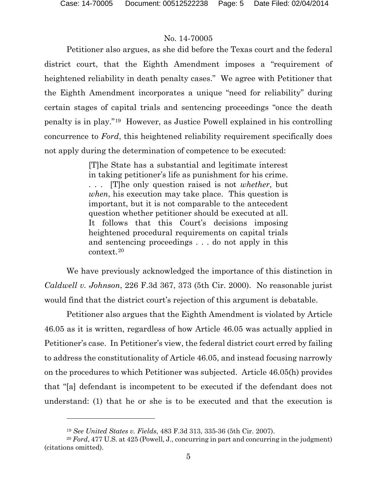$\overline{a}$ 

### No. 14-70005

Petitioner also argues, as she did before the Texas court and the federal district court, that the Eighth Amendment imposes a "requirement of heightened reliability in death penalty cases." We agree with Petitioner that the Eighth Amendment incorporates a unique "need for reliability" during certain stages of capital trials and sentencing proceedings "once the death penalty is in play."[19](#page-4-0) However, as Justice Powell explained in his controlling concurrence to *Ford*, this heightened reliability requirement specifically does not apply during the determination of competence to be executed:

> [T]he State has a substantial and legitimate interest in taking petitioner's life as punishment for his crime. . . . [T]he only question raised is not *whether*, but *when*, his execution may take place. This question is important, but it is not comparable to the antecedent question whether petitioner should be executed at all. It follows that this Court's decisions imposing heightened procedural requirements on capital trials and sentencing proceedings . . . do not apply in this context.[20](#page-4-1)

We have previously acknowledged the importance of this distinction in *Caldwell v. Johnson*, 226 F.3d 367, 373 (5th Cir. 2000). No reasonable jurist would find that the district court's rejection of this argument is debatable.

Petitioner also argues that the Eighth Amendment is violated by Article 46.05 as it is written, regardless of how Article 46.05 was actually applied in Petitioner's case. In Petitioner's view, the federal district court erred by failing to address the constitutionality of Article 46.05, and instead focusing narrowly on the procedures to which Petitioner was subjected. Article 46.05(h) provides that "[a] defendant is incompetent to be executed if the defendant does not understand: (1) that he or she is to be executed and that the execution is

<sup>19</sup> *See United States v. Fields*, 483 F.3d 313, 335-36 (5th Cir. 2007).

<span id="page-4-1"></span><span id="page-4-0"></span><sup>20</sup> *Ford*, 477 U.S. at 425 (Powell, J., concurring in part and concurring in the judgment) (citations omitted).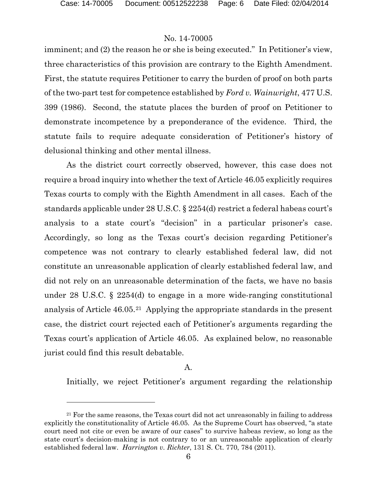l

# No. 14-70005

imminent; and (2) the reason he or she is being executed." In Petitioner's view, three characteristics of this provision are contrary to the Eighth Amendment. First, the statute requires Petitioner to carry the burden of proof on both parts of the two-part test for competence established by *Ford v. Wainwright*, 477 U.S. 399 (1986). Second, the statute places the burden of proof on Petitioner to demonstrate incompetence by a preponderance of the evidence. Third, the statute fails to require adequate consideration of Petitioner's history of delusional thinking and other mental illness.

As the district court correctly observed, however, this case does not require a broad inquiry into whether the text of Article 46.05 explicitly requires Texas courts to comply with the Eighth Amendment in all cases. Each of the standards applicable under 28 U.S.C. § 2254(d) restrict a federal habeas court's analysis to a state court's "decision" in a particular prisoner's case. Accordingly, so long as the Texas court's decision regarding Petitioner's competence was not contrary to clearly established federal law, did not constitute an unreasonable application of clearly established federal law, and did not rely on an unreasonable determination of the facts, we have no basis under 28 U.S.C. § 2254(d) to engage in a more wide-ranging constitutional analysis of Article 46.05.[21](#page-5-0) Applying the appropriate standards in the present case, the district court rejected each of Petitioner's arguments regarding the Texas court's application of Article 46.05. As explained below, no reasonable jurist could find this result debatable.

## A.

Initially, we reject Petitioner's argument regarding the relationship

<span id="page-5-0"></span><sup>&</sup>lt;sup>21</sup> For the same reasons, the Texas court did not act unreasonably in failing to address explicitly the constitutionality of Article 46.05. As the Supreme Court has observed, "a state court need not cite or even be aware of our cases" to survive habeas review, so long as the state court's decision-making is not contrary to or an unreasonable application of clearly established federal law. *Harrington v. Richter*, 131 S. Ct. 770, 784 (2011).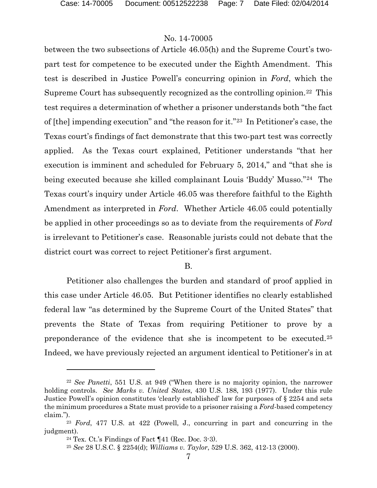between the two subsections of Article 46.05(h) and the Supreme Court's twopart test for competence to be executed under the Eighth Amendment. This test is described in Justice Powell's concurring opinion in *Ford*, which the Supreme Court has subsequently recognized as the controlling opinion.[22](#page-6-0) This test requires a determination of whether a prisoner understands both "the fact of [the] impending execution" and "the reason for it."[23](#page-6-1) In Petitioner's case, the Texas court's findings of fact demonstrate that this two-part test was correctly applied. As the Texas court explained, Petitioner understands "that her execution is imminent and scheduled for February 5, 2014," and "that she is being executed because she killed complainant Louis 'Buddy' Musso."[24](#page-6-2) The Texas court's inquiry under Article 46.05 was therefore faithful to the Eighth Amendment as interpreted in *Ford*. Whether Article 46.05 could potentially be applied in other proceedings so as to deviate from the requirements of *Ford*  is irrelevant to Petitioner's case. Reasonable jurists could not debate that the district court was correct to reject Petitioner's first argument.

B.

Petitioner also challenges the burden and standard of proof applied in this case under Article 46.05. But Petitioner identifies no clearly established federal law "as determined by the Supreme Court of the United States" that prevents the State of Texas from requiring Petitioner to prove by a preponderance of the evidence that she is incompetent to be executed.[25](#page-6-3) Indeed, we have previously rejected an argument identical to Petitioner's in at

l

<span id="page-6-0"></span><sup>22</sup> *See Panetti*, 551 U.S. at 949 ("When there is no majority opinion, the narrower holding controls. *See Marks v. United States*, 430 U.S. 188, 193 (1977). Under this rule Justice Powell's opinion constitutes 'clearly established' law for purposes of § 2254 and sets the minimum procedures a State must provide to a prisoner raising a *Ford*-based competency claim.").

<span id="page-6-3"></span><span id="page-6-2"></span><span id="page-6-1"></span><sup>23</sup> *Ford*, 477 U.S. at 422 (Powell, J., concurring in part and concurring in the judgment).

<sup>&</sup>lt;sup>24</sup> Tex. Ct.'s Findings of Fact  $\P$ 41 (Rec. Doc. 3-3).

<sup>25</sup> *See* 28 U.S.C. § 2254(d); *Williams v. Taylor*, 529 U.S. 362, 412-13 (2000).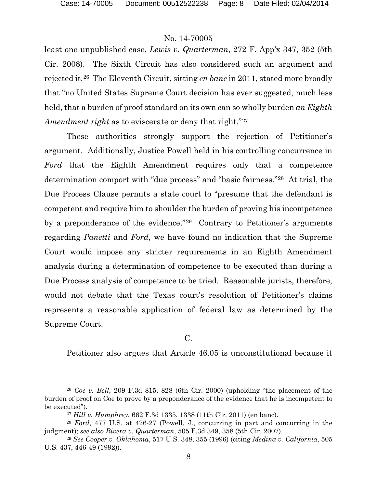$\overline{a}$ 

### No. 14-70005

least one unpublished case, *Lewis v. Quarterman*, 272 F. App'x 347, 352 (5th Cir. 2008). The Sixth Circuit has also considered such an argument and rejected it.[26](#page-7-0) The Eleventh Circuit, sitting *en banc* in 2011, stated more broadly that "no United States Supreme Court decision has ever suggested, much less held, that a burden of proof standard on its own can so wholly burden *an Eighth Amendment right* as to eviscerate or deny that right."[27](#page-7-1) 

These authorities strongly support the rejection of Petitioner's argument. Additionally, Justice Powell held in his controlling concurrence in *Ford* that the Eighth Amendment requires only that a competence determination comport with "due process" and "basic fairness."[28](#page-7-2) At trial, the Due Process Clause permits a state court to "presume that the defendant is competent and require him to shoulder the burden of proving his incompetence by a preponderance of the evidence."[29](#page-7-3) Contrary to Petitioner's arguments regarding *Panetti* and *Ford*, we have found no indication that the Supreme Court would impose any stricter requirements in an Eighth Amendment analysis during a determination of competence to be executed than during a Due Process analysis of competence to be tried. Reasonable jurists, therefore, would not debate that the Texas court's resolution of Petitioner's claims represents a reasonable application of federal law as determined by the Supreme Court.

 $C<sub>1</sub>$ 

Petitioner also argues that Article 46.05 is unconstitutional because it

<span id="page-7-0"></span><sup>26</sup> *Coe v. Bell*, 209 F.3d 815, 828 (6th Cir. 2000) (upholding "the placement of the burden of proof on Coe to prove by a preponderance of the evidence that he is incompetent to be executed").

<sup>27</sup> *Hill v. Humphrey*, 662 F.3d 1335, 1338 (11th Cir. 2011) (en banc).

<span id="page-7-2"></span><span id="page-7-1"></span><sup>28</sup> *Ford*, 477 U.S. at 426-27 (Powell, J., concurring in part and concurring in the judgment); *see also Rivera v. Quarterman*, 505 F.3d 349, 358 (5th Cir. 2007).

<span id="page-7-3"></span><sup>29</sup> *See Cooper v. Oklahoma*, 517 U.S. 348, 355 (1996) (citing *Medina v. California*, 505 U.S. 437, 446-49 (1992)).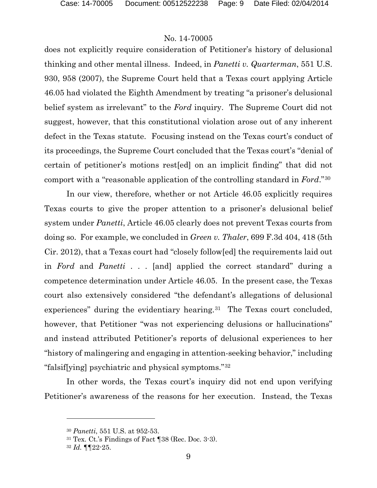does not explicitly require consideration of Petitioner's history of delusional thinking and other mental illness. Indeed, in *Panetti v. Quarterman*, 551 U.S. 930, 958 (2007), the Supreme Court held that a Texas court applying Article 46.05 had violated the Eighth Amendment by treating "a prisoner's delusional belief system as irrelevant" to the *Ford* inquiry. The Supreme Court did not suggest, however, that this constitutional violation arose out of any inherent defect in the Texas statute. Focusing instead on the Texas court's conduct of its proceedings, the Supreme Court concluded that the Texas court's "denial of certain of petitioner's motions rest[ed] on an implicit finding" that did not comport with a "reasonable application of the controlling standard in *Ford*."[30](#page-8-0)

In our view, therefore, whether or not Article 46.05 explicitly requires Texas courts to give the proper attention to a prisoner's delusional belief system under *Panetti*, Article 46.05 clearly does not prevent Texas courts from doing so. For example, we concluded in *Green v. Thaler*, 699 F.3d 404, 418 (5th Cir. 2012), that a Texas court had "closely follow[ed] the requirements laid out in *Ford* and *Panetti* . . . [and] applied the correct standard" during a competence determination under Article 46.05. In the present case, the Texas court also extensively considered "the defendant's allegations of delusional experiences" during the evidentiary hearing.<sup>[31](#page-8-1)</sup> The Texas court concluded, however, that Petitioner "was not experiencing delusions or hallucinations" and instead attributed Petitioner's reports of delusional experiences to her "history of malingering and engaging in attention-seeking behavior," including "falsif[ying] psychiatric and physical symptoms."[32](#page-8-2)

<span id="page-8-0"></span>In other words, the Texas court's inquiry did not end upon verifying Petitioner's awareness of the reasons for her execution. Instead, the Texas

<sup>30</sup> *Panetti*, 551 U.S. at 952-53.

<span id="page-8-1"></span> $31$  Tex. Ct.'s Findings of Fact  $\P$ 38 (Rec. Doc. 3-3).

<span id="page-8-2"></span><sup>32</sup> *Id.* ¶¶22-25.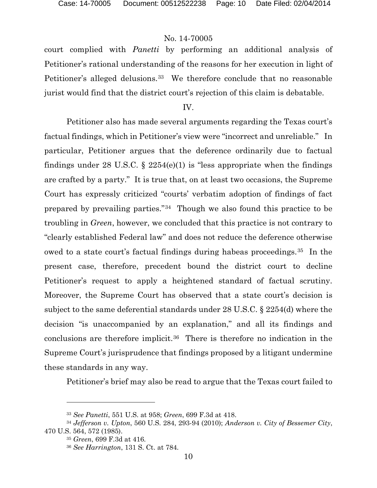court complied with *Panetti* by performing an additional analysis of Petitioner's rational understanding of the reasons for her execution in light of Petitioner's alleged delusions.<sup>[33](#page-9-0)</sup> We therefore conclude that no reasonable jurist would find that the district court's rejection of this claim is debatable.

#### IV.

Petitioner also has made several arguments regarding the Texas court's factual findings, which in Petitioner's view were "incorrect and unreliable." In particular, Petitioner argues that the deference ordinarily due to factual findings under 28 U.S.C. § 2254(e)(1) is "less appropriate when the findings are crafted by a party." It is true that, on at least two occasions, the Supreme Court has expressly criticized "courts' verbatim adoption of findings of fact prepared by prevailing parties."[34](#page-9-1) Though we also found this practice to be troubling in *Green*, however, we concluded that this practice is not contrary to "clearly established Federal law" and does not reduce the deference otherwise owed to a state court's factual findings during habeas proceedings.[35](#page-9-2) In the present case, therefore, precedent bound the district court to decline Petitioner's request to apply a heightened standard of factual scrutiny. Moreover, the Supreme Court has observed that a state court's decision is subject to the same deferential standards under 28 U.S.C. § 2254(d) where the decision "is unaccompanied by an explanation," and all its findings and conclusions are therefore implicit.[36](#page-9-3) There is therefore no indication in the Supreme Court's jurisprudence that findings proposed by a litigant undermine these standards in any way.

Petitioner's brief may also be read to argue that the Texas court failed to

l

<sup>33</sup> *See Panetti*, 551 U.S. at 958; *Green*, 699 F.3d at 418.

<span id="page-9-3"></span><span id="page-9-2"></span><span id="page-9-1"></span><span id="page-9-0"></span><sup>34</sup> *Jefferson v. Upton*, 560 U.S. 284, 293-94 (2010); *Anderson v. City of Bessemer City*, 470 U.S. 564, 572 (1985).

<sup>35</sup> *Green*, 699 F.3d at 416.

<sup>36</sup> *See Harrington*, 131 S. Ct. at 784.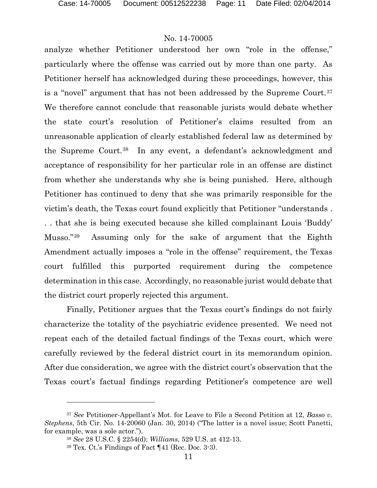analyze whether Petitioner understood her own "role in the offense," particularly where the offense was carried out by more than one party. As Petitioner herself has acknowledged during these proceedings, however, this is a "novel" argument that has not been addressed by the Supreme Court.<sup>[37](#page-10-0)</sup> We therefore cannot conclude that reasonable jurists would debate whether the state court's resolution of Petitioner's claims resulted from an unreasonable application of clearly established federal law as determined by the Supreme Court.[38](#page-10-1) In any event, a defendant's acknowledgment and acceptance of responsibility for her particular role in an offense are distinct from whether she understands why she is being punished. Here, although Petitioner has continued to deny that she was primarily responsible for the victim's death, the Texas court found explicitly that Petitioner "understands . . . that she is being executed because she killed complainant Louis 'Buddy' Musso."[39](#page-10-2) Assuming only for the sake of argument that the Eighth Amendment actually imposes a "role in the offense" requirement, the Texas court fulfilled this purported requirement during the competence determination in this case. Accordingly, no reasonable jurist would debate that the district court properly rejected this argument.

Finally, Petitioner argues that the Texas court's findings do not fairly characterize the totality of the psychiatric evidence presented. We need not repeat each of the detailed factual findings of the Texas court, which were carefully reviewed by the federal district court in its memorandum opinion. After due consideration, we agree with the district court's observation that the Texas court's factual findings regarding Petitioner's competence are well

l

<span id="page-10-2"></span><span id="page-10-1"></span><span id="page-10-0"></span><sup>37</sup> *See* Petitioner-Appellant's Mot. for Leave to File a Second Petition at 12, *Basso v. Stephens*, 5th Cir. No. 14-20060 (Jan. 30, 2014) ("The latter is a novel issue; Scott Panetti, for example, was a sole actor.").

<sup>38</sup> *See* 28 U.S.C. § 2254(d); *Williams*, 529 U.S. at 412-13.

<sup>39</sup> Tex. Ct.'s Findings of Fact ¶41 (Rec. Doc. 3-3).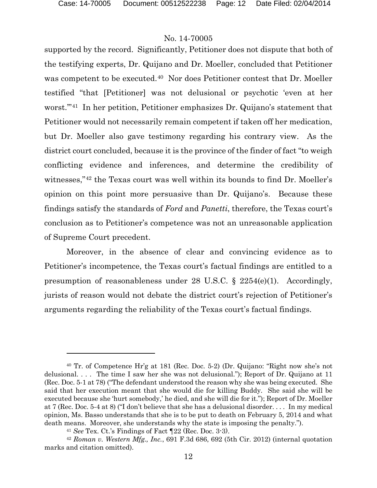$\overline{a}$ 

### No. 14-70005

supported by the record. Significantly, Petitioner does not dispute that both of the testifying experts, Dr. Quijano and Dr. Moeller, concluded that Petitioner was competent to be executed.[40](#page-11-0) Nor does Petitioner contest that Dr. Moeller testified "that [Petitioner] was not delusional or psychotic 'even at her worst.'"[41](#page-11-1) In her petition, Petitioner emphasizes Dr. Quijano's statement that Petitioner would not necessarily remain competent if taken off her medication, but Dr. Moeller also gave testimony regarding his contrary view. As the district court concluded, because it is the province of the finder of fact "to weigh conflicting evidence and inferences, and determine the credibility of witnesses,"[42](#page-11-2) the Texas court was well within its bounds to find Dr. Moeller's opinion on this point more persuasive than Dr. Quijano's. Because these findings satisfy the standards of *Ford* and *Panetti*, therefore, the Texas court's conclusion as to Petitioner's competence was not an unreasonable application of Supreme Court precedent.

Moreover, in the absence of clear and convincing evidence as to Petitioner's incompetence, the Texas court's factual findings are entitled to a presumption of reasonableness under 28 U.S.C. § 2254(e)(1). Accordingly, jurists of reason would not debate the district court's rejection of Petitioner's arguments regarding the reliability of the Texas court's factual findings.

<span id="page-11-0"></span><sup>40</sup> Tr. of Competence Hr'g at 181 (Rec. Doc. 5-2) (Dr. Quijano: "Right now she's not delusional. . . . The time I saw her she was not delusional."); Report of Dr. Quijano at 11 (Rec. Doc. 5-1 at 78) ("The defendant understood the reason why she was being executed. She said that her execution meant that she would die for killing Buddy. She said she will be executed because she 'hurt somebody,' he died, and she will die for it."); Report of Dr. Moeller at 7 (Rec. Doc. 5-4 at 8) ("I don't believe that she has a delusional disorder. . . . In my medical opinion, Ms. Basso understands that she is to be put to death on February 5, 2014 and what death means. Moreover, she understands why the state is imposing the penalty.").

<sup>41</sup> *See* Tex. Ct.'s Findings of Fact ¶22 (Rec. Doc. 3-3).

<span id="page-11-2"></span><span id="page-11-1"></span><sup>42</sup> *Roman v. Western Mfg., Inc.*, 691 F.3d 686, 692 (5th Cir. 2012) (internal quotation marks and citation omitted).